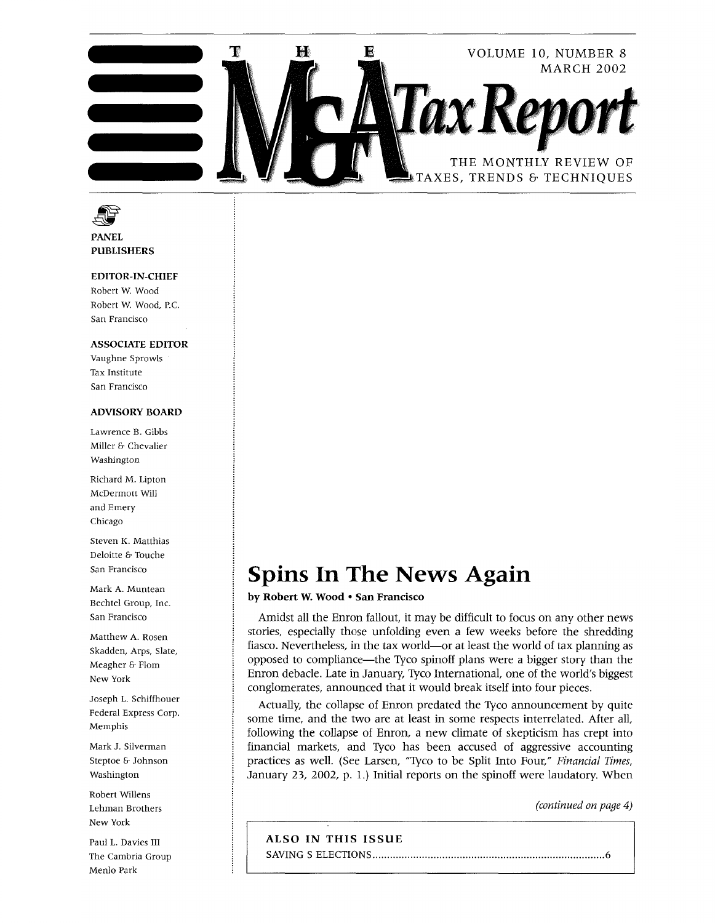

**FRANEL**<br>PANEL<br>PUBLISHERS

## EDITOR-IN-CHIEF

Robert W. Wood Robert W. Wood, P.C. San Francisco

## ASSOCIATE EDITOR

Vaughne Sprowls Tax Institute San Francisco

## ADVISORY BOARD

Lawrence B. Gibbs Miller & Chevalier Washington

Richard M. Lipton McDermott Will and Emery Chicago

Steven K. Matthias Deloitte & Touche San Francisco

Mark A. Muntean Bechtel Group, Inc. San Francisco

Matthew A. Rosen Skadden, Arps, Slate, Meagher & Flom New York

Joseph L. Schiffhouer Federal Express Corp. Memphis

Mark J. Silverman Steptoe & Johnson Washington

Robert Willens Lehman Brothers New York

Paul L. Davies III The Cambria Group Menlo Park

# **Spins In The News Again**

by Robert W. Wood • San Francisco

Amidst all the Enron fallout, it may be difficult to focus on any other news stories, especially those unfolding even a few weeks before the shredding fiasco. Nevertheless, in the tax world-or at least the world of tax planning as opposed to compliance-the Tyco spinoff plans were a bigger story than the Enron debacle. Late in January, Tyco International, one of the world's biggest conglomerates, announced that it would break itself into four pieces.

Actually, the collapse of Enron predated the Tyco announcement by quite some time, and the two are at least in some respects interrelated. After all, following the collapse of Enron, a new climate of skepticism has crept into financial markets, and Tyco has been accused of aggressive accounting practices as well. (See Larsen, "Tyco to be Split Into Four," *Financial Times,*  January 23, 2002, p. 1.) Initial reports on the spinoff were laudatory. When

*(continued on page 4)* 

## ALSO IN THIS ISSUE

SAVING S ELECTIONS ................................................................................ 6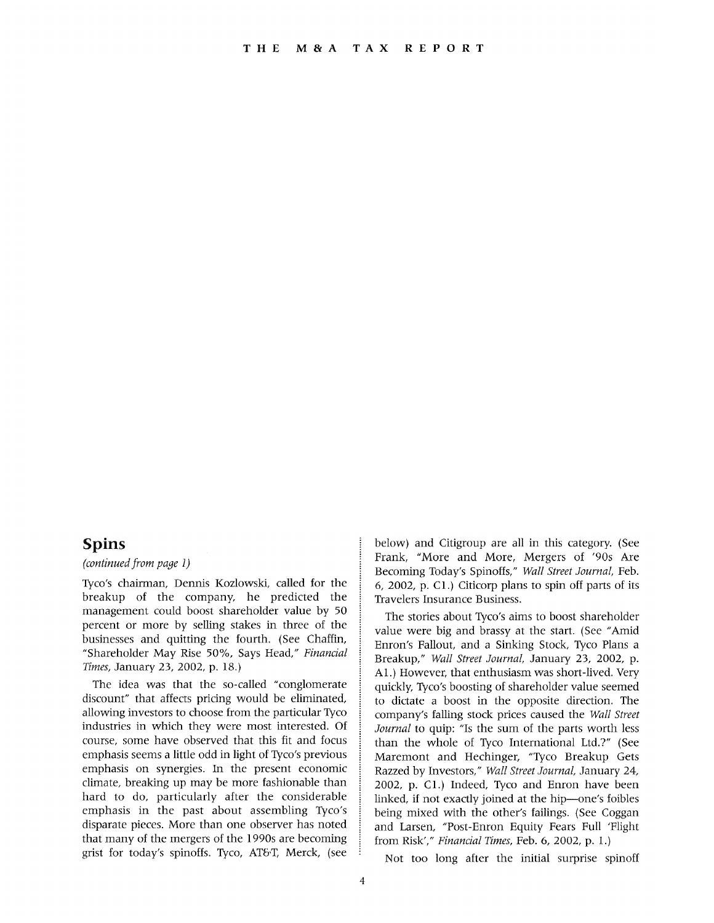# **Spins**

*(continued from page 1)* 

Tyco's chairman, Dennis Kozlowski, called for the breakup of the company, he predicted the management could boost shareholder value by 50 percent or more by selling stakes in three of the businesses and quitting the fourth. (See Chaffin, "Shareholder May Rise 50%, Says Head," *Financial Times,* January 23, 2002, p. 18.)

The idea was that the so-called "conglomerate discount" that affects pricing would be eliminated, allowing investors to choose from the particular Tyco industries in which they were most interested. Of course, some have observed that this fit and focus emphasis seems a little odd in light of Tyco's previous emphasis on synergies. In the present economic climate, breaking up may be more fashionable than hard to do, particularly after the considerable emphasis in the past about assembling Tyco's disparate pieces. More than one observer has noted that many of the mergers of the 1990s are becoming grist for today's spinoffs. Tyco, AT&T, Merck, (see

below) and Citigroup are all in this category. (See Frank, "More and More, Mergers of '90s Are Becoming Today's Spinoffs," *Wall Street Journal,* Feb. 6, 2002, p. Cl.) Citicorp plans to spin off parts of its Travelers Insurance Business.

The stories about Tyco's aims to boost shareholder value were big and brassy at the start. (See "Amid Enron's Fallout, and a Sinking Stock, Tyco Plans a Breakup," *Wall Street Journal,* January 23, 2002, p. Al.) However, that enthusiasm was short-lived. Very quickly, Tyco's boosting of shareholder value seemed to dictate a boost in the opposite direction. The company's falling stock prices caused the *Wall Street Journal* to quip: "Is the sum of the parts worth less than the whole of Tyco International Ltd.?" (See Maremont and Hechinger, "Tyco Breakup Gets Razzed by Investors," *Wall Street Journal,* January 24, 2002, p. Cl.) Indeed, Tyco and Enron have been linked, if not exactly joined at the hip—one's foibles being mixed with the other's failings. (See Coggan and Larsen, "Post -Enron Equity Fears Full 'Flight from Risk'," *Financial Times,* Feb. 6, 2002, p. 1.)

Not too long after the initial surprise spinoff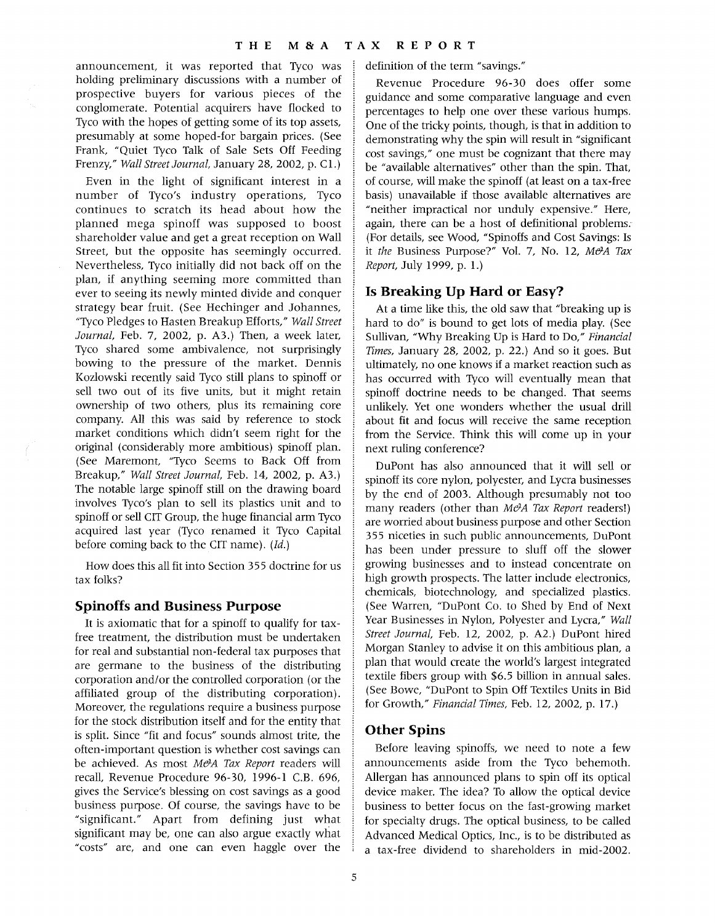announcement, it was reported that Tyco was holding preliminary discussions with a number of prospective buyers for various pieces of the conglomerate. Potential acquirers have flocked to Tyco with the hopes of getting some of its top assets, presumably at some hoped-for bargain prices. (See Frank, "Quiet Tyco Talk of Sale Sets Off Feeding Frenzy," *Wall Street Journal,* January 28,2002, p. C1.)

Even in the light of significant interest in a number of Tyco's industry operations, Tyco continues to scratch its head about how the planned mega spinoff was supposed to boost shareholder value and get a great reception on Wall Street, but the opposite has seemingly occurred. Nevertheless, Tyco initially did not back off on the plan, if anything seeming more committed than ever to seeing its newly minted divide and conquer strategy bear fruit. (See Hechinger and Johannes, "Tyco Pledges to Hasten Breakup Efforts," *Wall Street Journal,* Feb. 7, 2002, p. A3.) Then, a week later, Tyco shared some ambivalence, not surprisingly bowing to the pressure of the market. Dennis Kozlowski recently said Tyco still plans to spinoff or sell two out of its five units, but it might retain ownership of two others, plus its remaining core company. All this was said by reference to stock market conditions which didn't seem right for the original (considerably more ambitious) spinoff plan. (See Maremont, "Tyco Seems to Back Off from Breakup," *Wall Street Journal,* Feb. 14, 2002, p. A3.) The notable large spinoff still on the drawing board involves Tyco's plan to sell its plastics unit and to spinoff or sell CIT Group, the huge financial arm Tyco acquired last year (Tyco renamed it Tyco Capital before coming back to the CIT name). *(Id.)* 

How does this all fit into Section 355 doctrine for us tax folks?

# **Spinoffs and Business Purpose**

It is axiomatic that for a spinoff to qualify for taxfree treatment, the distribution must be undertaken for real and substantial non-federal tax purposes that are germane to the business of the distributing corporation and/or the controlled corporation (or the affiliated group of the distributing corporation). Moreover, the regulations require a business purpose for the stock distribution itself and for the entity that is split. Since "fit and focus" sounds almost trite, the often-important question is whether cost savings can be achieved. As most *M&A Tax Report* readers will recall, Revenue Procedure 96-30, 1996-1 C.B. 696, gives the Service's blessing on cost savings as a good business purpose. Of course, the savings have to be "significant." Apart from defining just what significant may be, one can also argue exactly what "costs" are, and one can even haggle over the definition of the term "savings."

Revenue Procedure 96-30 does offer some guidance and some comparative language and even percentages to help one over these various humps. One of the tricky points, though, is that in addition to demonstrating why the spin will result in "significant cost savings," one must be cognizant that there may be "available alternatives" other than the spin. That, of course, will make the spinoff (at least on a tax-free basis) unavailable if those available alternatives are "neither impractical nor unduly expensive." Here, again, there can be a host of definitional problems. (For details, see Wood, "Spinoffs and Cost Savings: Is it *the Business Purpose?" Vol. 7, No. 12, M&A Tax Report,* July 1999, p. 1.)

# **Is Breaking Up Hard or Easy?**

At a time like this, the old saw that "breaking up is hard to do" is bound to get lots of media play. (See Sullivan, "Why Breaking Up is Hard to Do," *Financial Times,* January 28, 2002, p. 22.) And so it goes. But ultimately, no one knows if a market reaction such as has occurred with Tyco will eventually mean that spinoff doctrine needs to be changed. That seems unlikely. Yet one wonders whether the usual drill about fit and focus will receive the same reception from the Service. Think this will come up in your next ruling conference?

DuPont has also announced that it will sell or spinoff its core nylon, polyester, and Lycra businesses by the end of 2003. Although presumably not too many readers (other than *M&A Tax Report* readers!) are worried about business purpose and other Section 355 niceties in such public announcements, DuPont has been under pressure to sluff off the slower growing businesses and to instead concentrate on high growth prospects. The latter include electronics, chemicals, biotechnology, and specialized plastics. (See Warren, "DuPont Co. to Shed by End of Next Year Businesses in Nylon, Polyester and Lycra," *Wall Street Journal,* Feb. 12, 2002, p. A2.) DuPont hired Morgan Stanley to advise it on this ambitious plan, a plan that would create the world's largest integrated textile fibers group with \$6.5 billion in annual sales. (See Bowe, "DuPont to Spin Off Textiles Units in Bid for Growth," *Financial Times,* Feb. 12, 2002, p. 17.)

## **Other Spins**

Before leaving spinoffs, we need to note a few announcements aside from the Tyco behemoth. Allergan has announced plans to spin off its optical device maker. The idea? To allow the optical device business to better focus on the fast-growing market for specialty drugs. The optical business, to be called Advanced Medical Optics, Inc., is to be distributed as a tax-free dividend to shareholders in mid-2002.